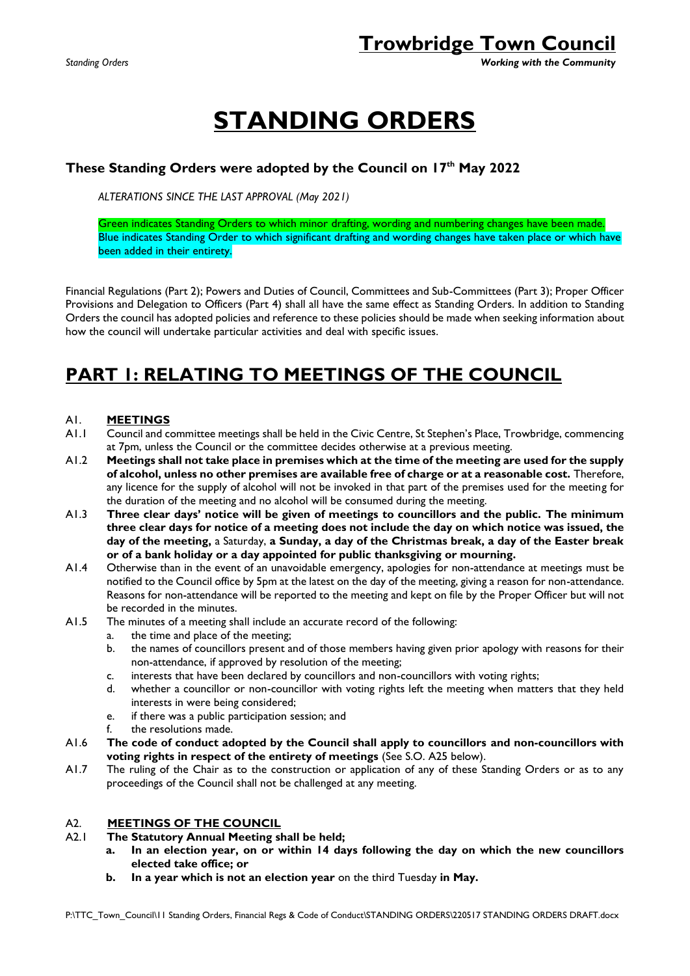*Standing Orders Working with the Community*

# **STANDING ORDERS**

### **These Standing Orders were adopted by the Council on 17 th May 2022**

*ALTERATIONS SINCE THE LAST APPROVAL (May 2021)*

Green indicates Standing Orders to which minor drafting, wording and numbering changes have been made. Blue indicates Standing Order to which significant drafting and wording changes have taken place or which have been added in their entirety.

Financial Regulations (Part 2); Powers and Duties of Council, Committees and Sub-Committees (Part 3); Proper Officer Provisions and Delegation to Officers (Part 4) shall all have the same effect as Standing Orders. In addition to Standing Orders the council has adopted policies and reference to these policies should be made when seeking information about how the council will undertake particular activities and deal with specific issues.

### **PART 1: RELATING TO MEETINGS OF THE COUNCIL**

### A1. **MEETINGS**

- A1.1 Council and committee meetings shall be held in the Civic Centre, St Stephen's Place, Trowbridge, commencing at 7pm, unless the Council or the committee decides otherwise at a previous meeting.
- A1.2 **Meetings shall not take place in premises which at the time of the meeting are used for the supply of alcohol, unless no other premises are available free of charge or at a reasonable cost.** Therefore, any licence for the supply of alcohol will not be invoked in that part of the premises used for the meeting for the duration of the meeting and no alcohol will be consumed during the meeting.
- A1.3 **Three clear days' notice will be given of meetings to councillors and the public. The minimum three clear days for notice of a meeting does not include the day on which notice was issued, the day of the meeting,** a Saturday, **a Sunday, a day of the Christmas break, a day of the Easter break or of a bank holiday or a day appointed for public thanksgiving or mourning.**
- A1.4 Otherwise than in the event of an unavoidable emergency, apologies for non-attendance at meetings must be notified to the Council office by 5pm at the latest on the day of the meeting, giving a reason for non-attendance. Reasons for non-attendance will be reported to the meeting and kept on file by the Proper Officer but will not be recorded in the minutes.
- A1.5 The minutes of a meeting shall include an accurate record of the following:
	- a. the time and place of the meeting;
	- b. the names of councillors present and of those members having given prior apology with reasons for their non-attendance, if approved by resolution of the meeting;
	- c. interests that have been declared by councillors and non-councillors with voting rights;
	- d. whether a councillor or non-councillor with voting rights left the meeting when matters that they held interests in were being considered;
	- e. if there was a public participation session; and
	- f. the resolutions made.
- A1.6 **The code of conduct adopted by the Council shall apply to councillors and non-councillors with voting rights in respect of the entirety of meetings** (See S.O. A25 below).
- A1.7 The ruling of the Chair as to the construction or application of any of these Standing Orders or as to any proceedings of the Council shall not be challenged at any meeting.

### A2. **MEETINGS OF THE COUNCIL**

#### A2.1 **The Statutory Annual Meeting shall be held;**

- **a. In an election year, on or within 14 days following the day on which the new councillors elected take office; or**
- **b. In a year which is not an election year** on the third Tuesday **in May.**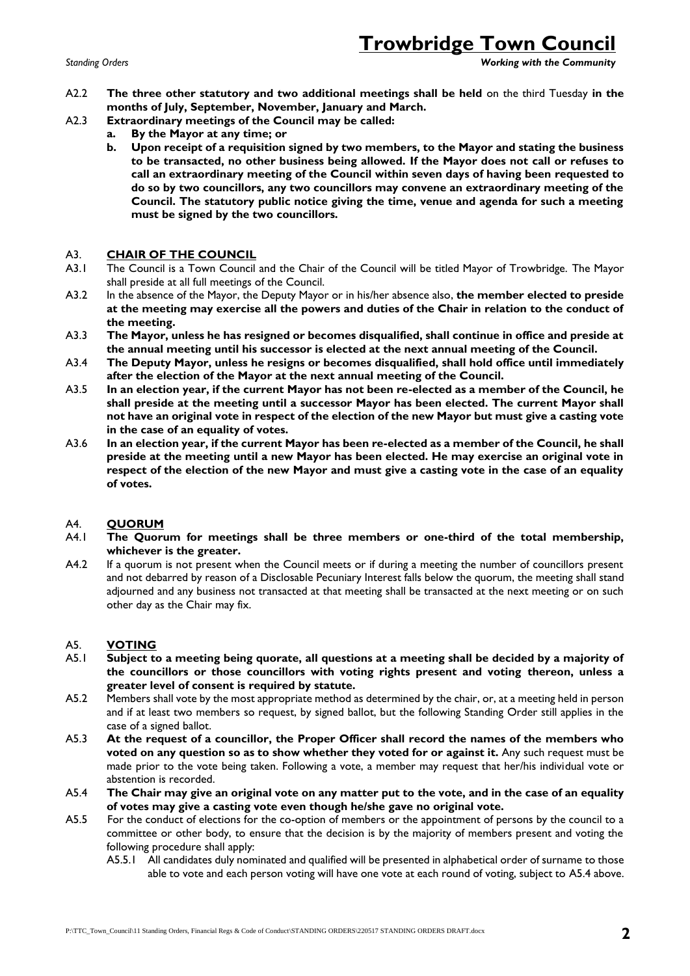*Standing Orders Working with the Community*

- A2.2 **The three other statutory and two additional meetings shall be held** on the third Tuesday **in the months of July, September, November, January and March.**
- A2.3 **Extraordinary meetings of the Council may be called:**
	- **a. By the Mayor at any time; or** 
		- **b. Upon receipt of a requisition signed by two members, to the Mayor and stating the business to be transacted, no other business being allowed. If the Mayor does not call or refuses to call an extraordinary meeting of the Council within seven days of having been requested to do so by two councillors, any two councillors may convene an extraordinary meeting of the Council. The statutory public notice giving the time, venue and agenda for such a meeting must be signed by the two councillors.**

### A3. **CHAIR OF THE COUNCIL**

- A3.1 The Council is a Town Council and the Chair of the Council will be titled Mayor of Trowbridge. The Mayor shall preside at all full meetings of the Council.
- A3.2 In the absence of the Mayor, the Deputy Mayor or in his/her absence also, **the member elected to preside at the meeting may exercise all the powers and duties of the Chair in relation to the conduct of the meeting.**
- A3.3 **The Mayor, unless he has resigned or becomes disqualified, shall continue in office and preside at the annual meeting until his successor is elected at the next annual meeting of the Council.**
- A3.4 **The Deputy Mayor, unless he resigns or becomes disqualified, shall hold office until immediately after the election of the Mayor at the next annual meeting of the Council.**
- A3.5 **In an election year, if the current Mayor has not been re-elected as a member of the Council, he shall preside at the meeting until a successor Mayor has been elected. The current Mayor shall not have an original vote in respect of the election of the new Mayor but must give a casting vote in the case of an equality of votes.**
- A3.6 **In an election year, if the current Mayor has been re-elected as a member of the Council, he shall preside at the meeting until a new Mayor has been elected. He may exercise an original vote in respect of the election of the new Mayor and must give a casting vote in the case of an equality of votes.**

### A4. **QUORUM**

- A4.1 **The Quorum for meetings shall be three members or one-third of the total membership, whichever is the greater.**
- A4.2 If a quorum is not present when the Council meets or if during a meeting the number of councillors present and not debarred by reason of a Disclosable Pecuniary Interest falls below the quorum, the meeting shall stand adjourned and any business not transacted at that meeting shall be transacted at the next meeting or on such other day as the Chair may fix.

### A5. **VOTING**

- A5.1 **Subject to a meeting being quorate, all questions at a meeting shall be decided by a majority of the councillors or those councillors with voting rights present and voting thereon, unless a greater level of consent is required by statute.**
- A5.2 Members shall vote by the most appropriate method as determined by the chair, or, at a meeting held in person and if at least two members so request, by signed ballot, but the following Standing Order still applies in the case of a signed ballot.
- A5.3 **At the request of a councillor, the Proper Officer shall record the names of the members who voted on any question so as to show whether they voted for or against it.** Any such request must be made prior to the vote being taken. Following a vote, a member may request that her/his individual vote or abstention is recorded.
- A5.4 **The Chair may give an original vote on any matter put to the vote, and in the case of an equality of votes may give a casting vote even though he/she gave no original vote.**
- A5.5 For the conduct of elections for the co-option of members or the appointment of persons by the council to a committee or other body, to ensure that the decision is by the majority of members present and voting the following procedure shall apply:
	- A5.5.1 All candidates duly nominated and qualified will be presented in alphabetical order of surname to those able to vote and each person voting will have one vote at each round of voting, subject to A5.4 above.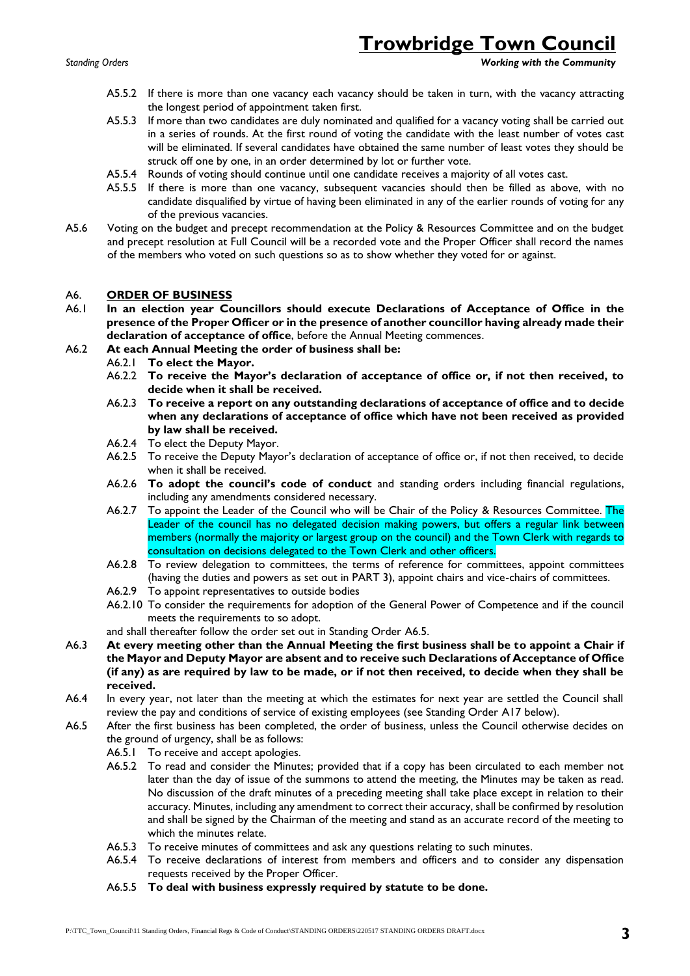*Standing Orders Working with the Community*

- A5.5.2 If there is more than one vacancy each vacancy should be taken in turn, with the vacancy attracting the longest period of appointment taken first.
- A5.5.3 If more than two candidates are duly nominated and qualified for a vacancy voting shall be carried out in a series of rounds. At the first round of voting the candidate with the least number of votes cast will be eliminated. If several candidates have obtained the same number of least votes they should be struck off one by one, in an order determined by lot or further vote.
- A5.5.4 Rounds of voting should continue until one candidate receives a majority of all votes cast.
- A5.5.5 If there is more than one vacancy, subsequent vacancies should then be filled as above, with no candidate disqualified by virtue of having been eliminated in any of the earlier rounds of voting for any of the previous vacancies.
- A5.6 Voting on the budget and precept recommendation at the Policy & Resources Committee and on the budget and precept resolution at Full Council will be a recorded vote and the Proper Officer shall record the names of the members who voted on such questions so as to show whether they voted for or against.

#### A6. **ORDER OF BUSINESS**

- A6.1 **In an election year Councillors should execute Declarations of Acceptance of Office in the presence of the Proper Officer or in the presence of another councillor having already made their declaration of acceptance of office**, before the Annual Meeting commences.
- A6.2 **At each Annual Meeting the order of business shall be:**
	- A6.2.1 **To elect the Mayor.**
	- A6.2.2 **To receive the Mayor's declaration of acceptance of office or, if not then received, to decide when it shall be received.**
	- A6.2.3 **To receive a report on any outstanding declarations of acceptance of office and to decide when any declarations of acceptance of office which have not been received as provided by law shall be received.**
	- A6.2.4 To elect the Deputy Mayor.
	- A6.2.5 To receive the Deputy Mayor's declaration of acceptance of office or, if not then received, to decide when it shall be received.
	- A6.2.6 **To adopt the council's code of conduct** and standing orders including financial regulations, including any amendments considered necessary.
	- A6.2.7 To appoint the Leader of the Council who will be Chair of the Policy & Resources Committee. The Leader of the council has no delegated decision making powers, but offers a regular link between members (normally the majority or largest group on the council) and the Town Clerk with regards to consultation on decisions delegated to the Town Clerk and other officers.
	- A6.2.8 To review delegation to committees, the terms of reference for committees, appoint committees (having the duties and powers as set out in PART 3), appoint chairs and vice-chairs of committees.
	- A6.2.9 To appoint representatives to outside bodies
	- A6.2.10 To consider the requirements for adoption of the General Power of Competence and if the council meets the requirements to so adopt.
	- and shall thereafter follow the order set out in Standing Order A6.5.
- A6.3 **At every meeting other than the Annual Meeting the first business shall be to appoint a Chair if the Mayor and Deputy Mayor are absent and to receive such Declarations of Acceptance of Office (if any) as are required by law to be made, or if not then received, to decide when they shall be received.**
- A6.4 In every year, not later than the meeting at which the estimates for next year are settled the Council shall review the pay and conditions of service of existing employees (see Standing Order A17 below).
- A6.5 After the first business has been completed, the order of business, unless the Council otherwise decides on the ground of urgency, shall be as follows:
	- A6.5.1 To receive and accept apologies.
	- A6.5.2 To read and consider the Minutes; provided that if a copy has been circulated to each member not later than the day of issue of the summons to attend the meeting, the Minutes may be taken as read. No discussion of the draft minutes of a preceding meeting shall take place except in relation to their accuracy. Minutes, including any amendment to correct their accuracy, shall be confirmed by resolution and shall be signed by the Chairman of the meeting and stand as an accurate record of the meeting to which the minutes relate.
	- A6.5.3 To receive minutes of committees and ask any questions relating to such minutes.
	- A6.5.4 To receive declarations of interest from members and officers and to consider any dispensation requests received by the Proper Officer.
	- A6.5.5 **To deal with business expressly required by statute to be done.**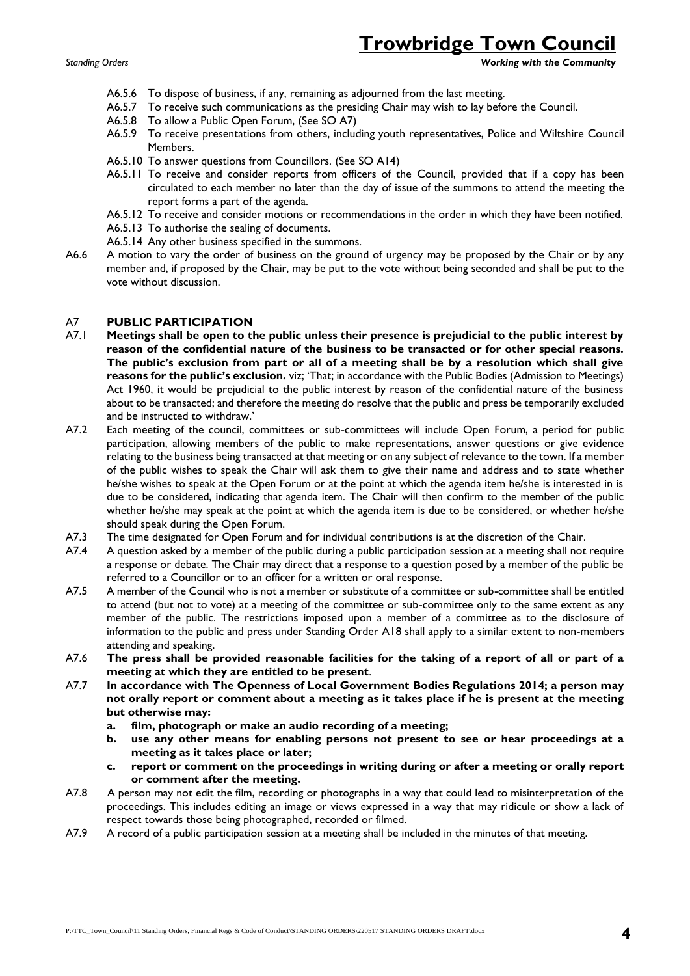*Standing Orders Working with the Community*

- A6.5.6 To dispose of business, if any, remaining as adjourned from the last meeting.
- A6.5.7 To receive such communications as the presiding Chair may wish to lay before the Council.
- A6.5.8 To allow a Public Open Forum, (See SO A7)
- A6.5.9 To receive presentations from others, including youth representatives, Police and Wiltshire Council Members.
- A6.5.10 To answer questions from Councillors. (See SO A14)
- A6.5.11 To receive and consider reports from officers of the Council, provided that if a copy has been circulated to each member no later than the day of issue of the summons to attend the meeting the report forms a part of the agenda.
- A6.5.12 To receive and consider motions or recommendations in the order in which they have been notified.
- A6.5.13 To authorise the sealing of documents.
- A6.5.14 Any other business specified in the summons.
- A6.6 A motion to vary the order of business on the ground of urgency may be proposed by the Chair or by any member and, if proposed by the Chair, may be put to the vote without being seconded and shall be put to the vote without discussion.

#### A7 **PUBLIC PARTICIPATION**

- A7.1 **Meetings shall be open to the public unless their presence is prejudicial to the public interest by reason of the confidential nature of the business to be transacted or for other special reasons. The public's exclusion from part or all of a meeting shall be by a resolution which shall give reasons for the public's exclusion.** viz; 'That; in accordance with the Public Bodies (Admission to Meetings) Act 1960, it would be prejudicial to the public interest by reason of the confidential nature of the business about to be transacted; and therefore the meeting do resolve that the public and press be temporarily excluded and be instructed to withdraw.'
- A7.2 Each meeting of the council, committees or sub-committees will include Open Forum, a period for public participation, allowing members of the public to make representations, answer questions or give evidence relating to the business being transacted at that meeting or on any subject of relevance to the town. If a member of the public wishes to speak the Chair will ask them to give their name and address and to state whether he/she wishes to speak at the Open Forum or at the point at which the agenda item he/she is interested in is due to be considered, indicating that agenda item. The Chair will then confirm to the member of the public whether he/she may speak at the point at which the agenda item is due to be considered, or whether he/she should speak during the Open Forum.
- A7.3 The time designated for Open Forum and for individual contributions is at the discretion of the Chair.
- A7.4 A question asked by a member of the public during a public participation session at a meeting shall not require a response or debate. The Chair may direct that a response to a question posed by a member of the public be referred to a Councillor or to an officer for a written or oral response.
- A7.5 A member of the Council who is not a member or substitute of a committee or sub-committee shall be entitled to attend (but not to vote) at a meeting of the committee or sub-committee only to the same extent as any member of the public. The restrictions imposed upon a member of a committee as to the disclosure of information to the public and press under Standing Order A18 shall apply to a similar extent to non-members attending and speaking.
- A7.6 **The press shall be provided reasonable facilities for the taking of a report of all or part of a meeting at which they are entitled to be present**.
- A7.7 **In accordance with The Openness of Local Government Bodies Regulations 2014; a person may not orally report or comment about a meeting as it takes place if he is present at the meeting but otherwise may:** 
	- **a. film, photograph or make an audio recording of a meeting;**
	- **b. use any other means for enabling persons not present to see or hear proceedings at a meeting as it takes place or later;**
	- **c. report or comment on the proceedings in writing during or after a meeting or orally report or comment after the meeting.**
- A7.8 A person may not edit the film, recording or photographs in a way that could lead to misinterpretation of the proceedings. This includes editing an image or views expressed in a way that may ridicule or show a lack of respect towards those being photographed, recorded or filmed.
- A7.9 A record of a public participation session at a meeting shall be included in the minutes of that meeting.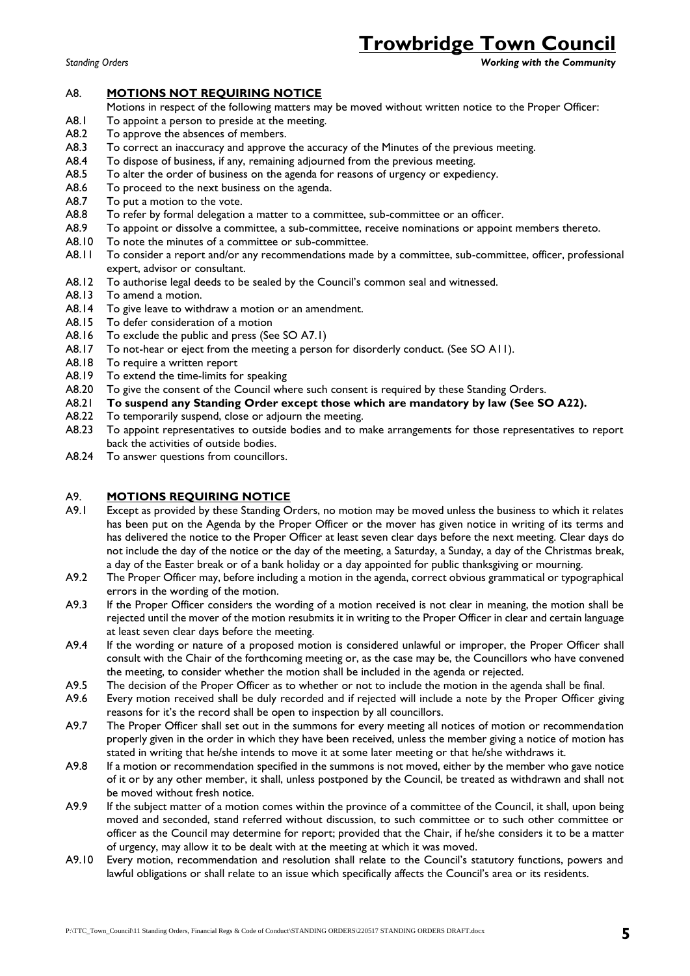*Standing Orders Working with the Community*

#### A8. **MOTIONS NOT REQUIRING NOTICE**

- Motions in respect of the following matters may be moved without written notice to the Proper Officer:
- A8.1 To appoint a person to preside at the meeting.
- A8.2 To approve the absences of members.
- A8.3 To correct an inaccuracy and approve the accuracy of the Minutes of the previous meeting.
- A8.4 To dispose of business, if any, remaining adjourned from the previous meeting.
- A8.5 To alter the order of business on the agenda for reasons of urgency or expediency.
- A8.6 To proceed to the next business on the agenda.
- A8.7 To put a motion to the vote.
- A8.8 To refer by formal delegation a matter to a committee, sub-committee or an officer.
- A8.9 To appoint or dissolve a committee, a sub-committee, receive nominations or appoint members thereto.
- A8.10 To note the minutes of a committee or sub-committee.
- A8.11 To consider a report and/or any recommendations made by a committee, sub-committee, officer, professional expert, advisor or consultant.
- A8.12 To authorise legal deeds to be sealed by the Council's common seal and witnessed.
- A8.13 To amend a motion.
- A8.14 To give leave to withdraw a motion or an amendment.
- A8.15 To defer consideration of a motion
- A8.16 To exclude the public and press (See SO A7.1)
- A8.17 To not-hear or eject from the meeting a person for disorderly conduct. (See SO A11).
- A8.18 To require a written report
- A8.19 To extend the time-limits for speaking
- A8.20 To give the consent of the Council where such consent is required by these Standing Orders.
- A8.21 **To suspend any Standing Order except those which are mandatory by law (See SO A22).**
- A8.22 To temporarily suspend, close or adjourn the meeting.
- A8.23 To appoint representatives to outside bodies and to make arrangements for those representatives to report back the activities of outside bodies.
- A8.24 To answer questions from councillors.

#### A9. **MOTIONS REQUIRING NOTICE**

- A9.1 Except as provided by these Standing Orders, no motion may be moved unless the business to which it relates has been put on the Agenda by the Proper Officer or the mover has given notice in writing of its terms and has delivered the notice to the Proper Officer at least seven clear days before the next meeting. Clear days do not include the day of the notice or the day of the meeting, a Saturday, a Sunday, a day of the Christmas break, a day of the Easter break or of a bank holiday or a day appointed for public thanksgiving or mourning.
- A9.2 The Proper Officer may, before including a motion in the agenda, correct obvious grammatical or typographical errors in the wording of the motion.
- A9.3 If the Proper Officer considers the wording of a motion received is not clear in meaning, the motion shall be rejected until the mover of the motion resubmits it in writing to the Proper Officer in clear and certain language at least seven clear days before the meeting.
- A9.4 If the wording or nature of a proposed motion is considered unlawful or improper, the Proper Officer shall consult with the Chair of the forthcoming meeting or, as the case may be, the Councillors who have convened the meeting, to consider whether the motion shall be included in the agenda or rejected.
- A9.5 The decision of the Proper Officer as to whether or not to include the motion in the agenda shall be final.
- A9.6 Every motion received shall be duly recorded and if rejected will include a note by the Proper Officer giving reasons for it's the record shall be open to inspection by all councillors.
- A9.7 The Proper Officer shall set out in the summons for every meeting all notices of motion or recommendation properly given in the order in which they have been received, unless the member giving a notice of motion has stated in writing that he/she intends to move it at some later meeting or that he/she withdraws it.
- A9.8 If a motion or recommendation specified in the summons is not moved, either by the member who gave notice of it or by any other member, it shall, unless postponed by the Council, be treated as withdrawn and shall not be moved without fresh notice.
- A9.9 If the subject matter of a motion comes within the province of a committee of the Council, it shall, upon being moved and seconded, stand referred without discussion, to such committee or to such other committee or officer as the Council may determine for report; provided that the Chair, if he/she considers it to be a matter of urgency, may allow it to be dealt with at the meeting at which it was moved.
- A9.10 Every motion, recommendation and resolution shall relate to the Council's statutory functions, powers and lawful obligations or shall relate to an issue which specifically affects the Council's area or its residents.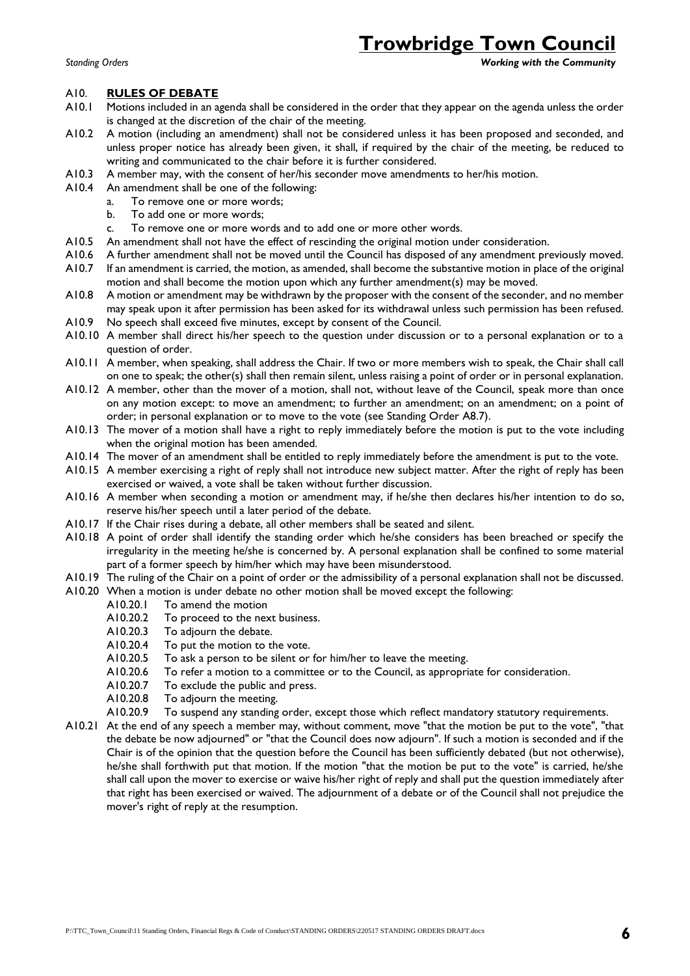*Standing Orders Working with the Community*

#### A10. **RULES OF DEBATE**

- A10.1 Motions included in an agenda shall be considered in the order that they appear on the agenda unless the order is changed at the discretion of the chair of the meeting.
- A10.2 A motion (including an amendment) shall not be considered unless it has been proposed and seconded, and unless proper notice has already been given, it shall, if required by the chair of the meeting, be reduced to writing and communicated to the chair before it is further considered.
- A10.3 A member may, with the consent of her/his seconder move amendments to her/his motion.
- A10.4 An amendment shall be one of the following:
	- a. To remove one or more words;
	- b. To add one or more words;
	- c. To remove one or more words and to add one or more other words.
- A10.5 An amendment shall not have the effect of rescinding the original motion under consideration.<br>A10.6 A further amendment shall not be moved until the Council has disposed of any amendment pre
- A further amendment shall not be moved until the Council has disposed of any amendment previously moved.
- A10.7 If an amendment is carried, the motion, as amended, shall become the substantive motion in place of the original motion and shall become the motion upon which any further amendment(s) may be moved.
- A10.8 A motion or amendment may be withdrawn by the proposer with the consent of the seconder, and no member may speak upon it after permission has been asked for its withdrawal unless such permission has been refused.
- A10.9 No speech shall exceed five minutes, except by consent of the Council.
- A10.10 A member shall direct his/her speech to the question under discussion or to a personal explanation or to a question of order.
- A10.11 A member, when speaking, shall address the Chair. If two or more members wish to speak, the Chair shall call on one to speak; the other(s) shall then remain silent, unless raising a point of order or in personal explanation.
- A10.12 A member, other than the mover of a motion, shall not, without leave of the Council, speak more than once on any motion except: to move an amendment; to further an amendment; on an amendment; on a point of order; in personal explanation or to move to the vote (see Standing Order A8.7).
- A10.13 The mover of a motion shall have a right to reply immediately before the motion is put to the vote including when the original motion has been amended.
- A10.14 The mover of an amendment shall be entitled to reply immediately before the amendment is put to the vote.
- A10.15 A member exercising a right of reply shall not introduce new subject matter. After the right of reply has been exercised or waived, a vote shall be taken without further discussion.
- A10.16 A member when seconding a motion or amendment may, if he/she then declares his/her intention to do so, reserve his/her speech until a later period of the debate.
- A10.17 If the Chair rises during a debate, all other members shall be seated and silent.
- A10.18 A point of order shall identify the standing order which he/she considers has been breached or specify the irregularity in the meeting he/she is concerned by. A personal explanation shall be confined to some material part of a former speech by him/her which may have been misunderstood.
- A10.19 The ruling of the Chair on a point of order or the admissibility of a personal explanation shall not be discussed.
- A10.20 When a motion is under debate no other motion shall be moved except the following:
	- A10.20.1 To amend the motion
		- A10.20.2 To proceed to the next business.
		- A10.20.3 To adjourn the debate.
		- A10.20.4 To put the motion to the vote.
		- A10.20.5 To ask a person to be silent or for him/her to leave the meeting.
		- A10.20.6 To refer a motion to a committee or to the Council, as appropriate for consideration.
		- A10.20.7 To exclude the public and press.
		- A10.20.8 To adjourn the meeting.
	- A10.20.9 To suspend any standing order, except those which reflect mandatory statutory requirements.
- A10.21 At the end of any speech a member may, without comment, move "that the motion be put to the vote", "that the debate be now adjourned" or "that the Council does now adjourn". If such a motion is seconded and if the Chair is of the opinion that the question before the Council has been sufficiently debated (but not otherwise), he/she shall forthwith put that motion. If the motion "that the motion be put to the vote" is carried, he/she shall call upon the mover to exercise or waive his/her right of reply and shall put the question immediately after that right has been exercised or waived. The adjournment of a debate or of the Council shall not prejudice the mover's right of reply at the resumption.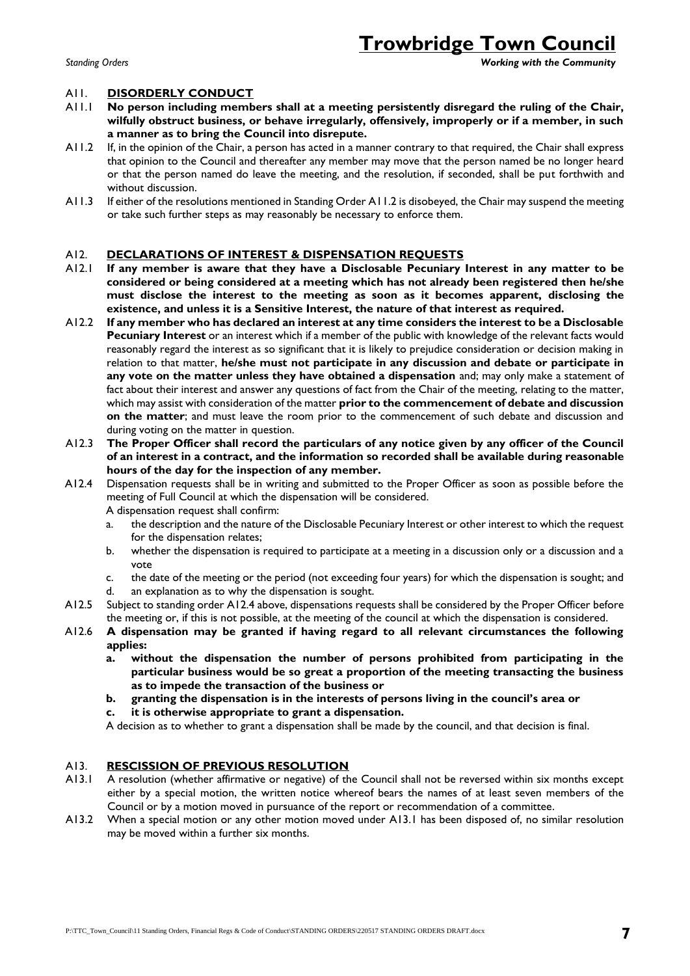#### *Standing Orders Working with the Community*

#### A11. **DISORDERLY CONDUCT**

- A11.1 **No person including members shall at a meeting persistently disregard the ruling of the Chair, wilfully obstruct business, or behave irregularly, offensively, improperly or if a member, in such a manner as to bring the Council into disrepute.**
- A11.2 If, in the opinion of the Chair, a person has acted in a manner contrary to that required, the Chair shall express that opinion to the Council and thereafter any member may move that the person named be no longer heard or that the person named do leave the meeting, and the resolution, if seconded, shall be put forthwith and without discussion.
- A11.3 If either of the resolutions mentioned in Standing Order A11.2 is disobeyed, the Chair may suspend the meeting or take such further steps as may reasonably be necessary to enforce them.

#### A12. **DECLARATIONS OF INTEREST & DISPENSATION REQUESTS**

- A12.1 **If any member is aware that they have a Disclosable Pecuniary Interest in any matter to be considered or being considered at a meeting which has not already been registered then he/she must disclose the interest to the meeting as soon as it becomes apparent, disclosing the existence, and unless it is a Sensitive Interest, the nature of that interest as required.**
- A12.2 **If any member who has declared an interest at any time considers the interest to be a Disclosable Pecuniary Interest** or an interest which if a member of the public with knowledge of the relevant facts would reasonably regard the interest as so significant that it is likely to prejudice consideration or decision making in relation to that matter, **he/she must not participate in any discussion and debate or participate in any vote on the matter unless they have obtained a dispensation** and; may only make a statement of fact about their interest and answer any questions of fact from the Chair of the meeting, relating to the matter, which may assist with consideration of the matter **prior to the commencement of debate and discussion on the matter**; and must leave the room prior to the commencement of such debate and discussion and during voting on the matter in question.
- A12.3 **The Proper Officer shall record the particulars of any notice given by any officer of the Council of an interest in a contract, and the information so recorded shall be available during reasonable hours of the day for the inspection of any member.**
- A12.4 Dispensation requests shall be in writing and submitted to the Proper Officer as soon as possible before the meeting of Full Council at which the dispensation will be considered.
	- A dispensation request shall confirm:
	- a. the description and the nature of the Disclosable Pecuniary Interest or other interest to which the request for the dispensation relates;
	- b. whether the dispensation is required to participate at a meeting in a discussion only or a discussion and a vote
	- c. the date of the meeting or the period (not exceeding four years) for which the dispensation is sought; and d. an explanation as to why the dispensation is sought.
- A12.5 Subject to standing order A12.4 above, dispensations requests shall be considered by the Proper Officer before the meeting or, if this is not possible, at the meeting of the council at which the dispensation is considered.
- A12.6 **A dispensation may be granted if having regard to all relevant circumstances the following applies:**
	- **a. without the dispensation the number of persons prohibited from participating in the particular business would be so great a proportion of the meeting transacting the business as to impede the transaction of the business or**
	- **b. granting the dispensation is in the interests of persons living in the council's area or c. it is otherwise appropriate to grant a dispensation.**

A decision as to whether to grant a dispensation shall be made by the council, and that decision is final.

#### A13. **RESCISSION OF PREVIOUS RESOLUTION**

- A13.1 A resolution (whether affirmative or negative) of the Council shall not be reversed within six months except either by a special motion, the written notice whereof bears the names of at least seven members of the Council or by a motion moved in pursuance of the report or recommendation of a committee.
- A13.2 When a special motion or any other motion moved under A13.1 has been disposed of, no similar resolution may be moved within a further six months.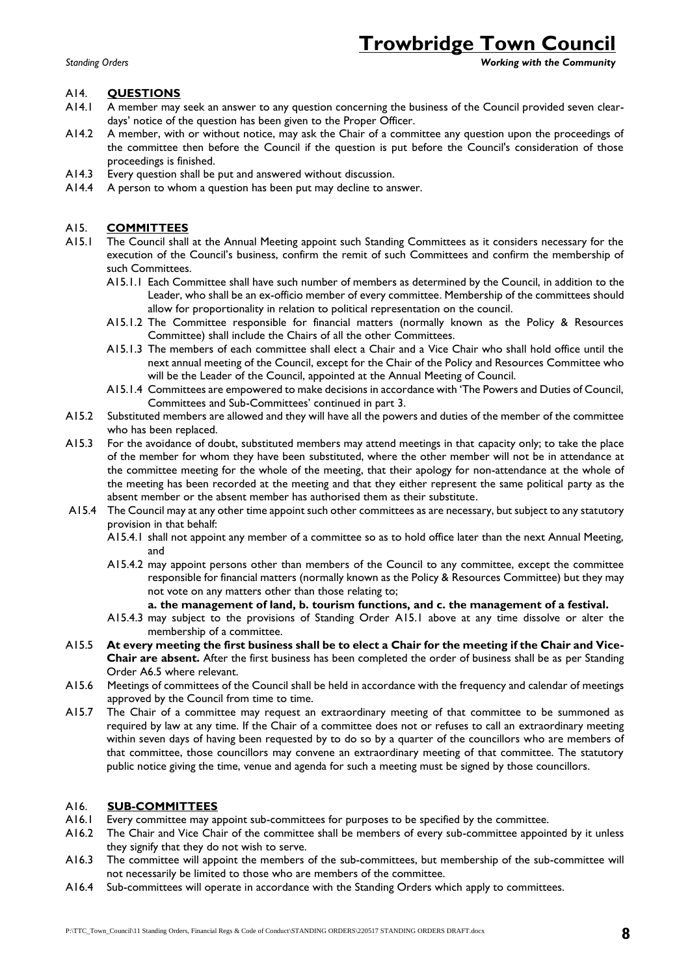*Standing Orders Working with the Community*

### A14. **QUESTIONS**

- A14.1 A member may seek an answer to any question concerning the business of the Council provided seven cleardays' notice of the question has been given to the Proper Officer.
- A14.2 A member, with or without notice, may ask the Chair of a committee any question upon the proceedings of the committee then before the Council if the question is put before the Council's consideration of those proceedings is finished.
- A14.3 Every question shall be put and answered without discussion.
- A14.4 A person to whom a question has been put may decline to answer.

### A15. **COMMITTEES**

- A15.1 The Council shall at the Annual Meeting appoint such Standing Committees as it considers necessary for the execution of the Council's business, confirm the remit of such Committees and confirm the membership of such Committees.
	- A15.1.1 Each Committee shall have such number of members as determined by the Council, in addition to the Leader, who shall be an ex-officio member of every committee. Membership of the committees should allow for proportionality in relation to political representation on the council.
	- A15.1.2 The Committee responsible for financial matters (normally known as the Policy & Resources Committee) shall include the Chairs of all the other Committees.
	- A15.1.3 The members of each committee shall elect a Chair and a Vice Chair who shall hold office until the next annual meeting of the Council, except for the Chair of the Policy and Resources Committee who will be the Leader of the Council, appointed at the Annual Meeting of Council.
	- A15.1.4 Committees are empowered to make decisions in accordance with 'The Powers and Duties of Council, Committees and Sub-Committees' continued in part 3.
- A15.2 Substituted members are allowed and they will have all the powers and duties of the member of the committee who has been replaced.
- A15.3 For the avoidance of doubt, substituted members may attend meetings in that capacity only; to take the place of the member for whom they have been substituted, where the other member will not be in attendance at the committee meeting for the whole of the meeting, that their apology for non-attendance at the whole of the meeting has been recorded at the meeting and that they either represent the same political party as the absent member or the absent member has authorised them as their substitute.
- A15.4 The Council may at any other time appoint such other committees as are necessary, but subject to any statutory provision in that behalf:
	- A15.4.1 shall not appoint any member of a committee so as to hold office later than the next Annual Meeting, and
	- A15.4.2 may appoint persons other than members of the Council to any committee, except the committee responsible for financial matters (normally known as the Policy & Resources Committee) but they may not vote on any matters other than those relating to;
		- **a. the management of land, b. tourism functions, and c. the management of a festival.**
	- A15.4.3 may subject to the provisions of Standing Order A15.1 above at any time dissolve or alter the membership of a committee.
- A15.5 **At every meeting the first business shall be to elect a Chair for the meeting if the Chair and Vice-Chair are absent.** After the first business has been completed the order of business shall be as per Standing Order A6.5 where relevant.
- A15.6 Meetings of committees of the Council shall be held in accordance with the frequency and calendar of meetings approved by the Council from time to time.
- A15.7 The Chair of a committee may request an extraordinary meeting of that committee to be summoned as required by law at any time. If the Chair of a committee does not or refuses to call an extraordinary meeting within seven days of having been requested by to do so by a quarter of the councillors who are members of that committee, those councillors may convene an extraordinary meeting of that committee. The statutory public notice giving the time, venue and agenda for such a meeting must be signed by those councillors.

### A16. **SUB-COMMITTEES**

- A16.1 Every committee may appoint sub-committees for purposes to be specified by the committee.
- A16.2 The Chair and Vice Chair of the committee shall be members of every sub-committee appointed by it unless they signify that they do not wish to serve.
- A16.3 The committee will appoint the members of the sub-committees, but membership of the sub-committee will not necessarily be limited to those who are members of the committee.
- A16.4 Sub-committees will operate in accordance with the Standing Orders which apply to committees.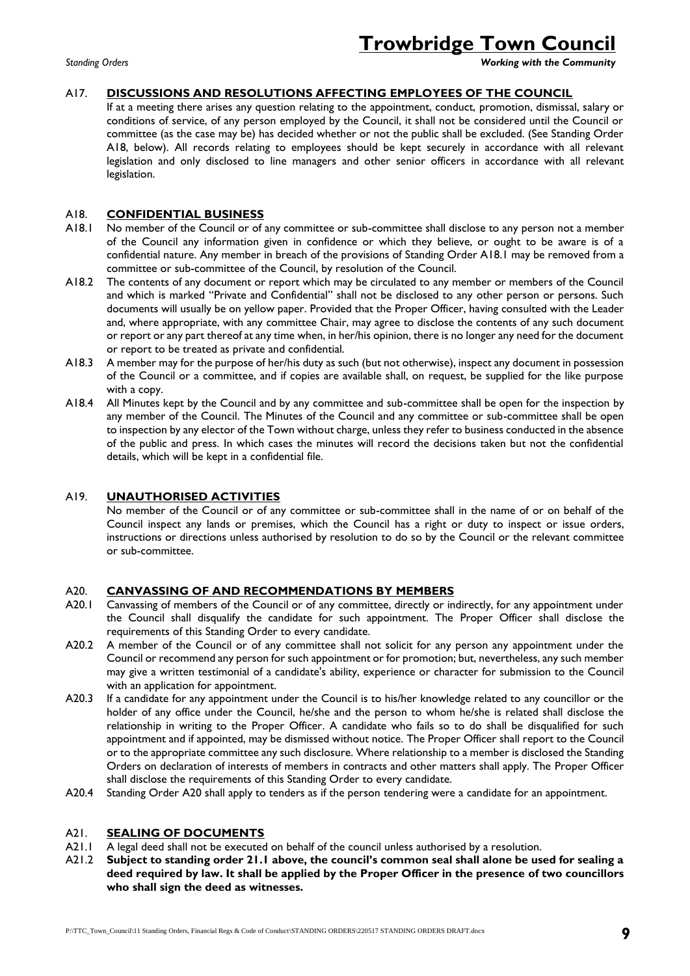*Standing Orders Working with the Community*

### A17. **DISCUSSIONS AND RESOLUTIONS AFFECTING EMPLOYEES OF THE COUNCIL**

If at a meeting there arises any question relating to the appointment, conduct, promotion, dismissal, salary or conditions of service, of any person employed by the Council, it shall not be considered until the Council or committee (as the case may be) has decided whether or not the public shall be excluded. (See Standing Order A18, below). All records relating to employees should be kept securely in accordance with all relevant legislation and only disclosed to line managers and other senior officers in accordance with all relevant legislation.

### A18. **CONFIDENTIAL BUSINESS**

- A18.1 No member of the Council or of any committee or sub-committee shall disclose to any person not a member of the Council any information given in confidence or which they believe, or ought to be aware is of a confidential nature. Any member in breach of the provisions of Standing Order A18.1 may be removed from a committee or sub-committee of the Council, by resolution of the Council.
- A18.2 The contents of any document or report which may be circulated to any member or members of the Council and which is marked "Private and Confidential" shall not be disclosed to any other person or persons. Such documents will usually be on yellow paper. Provided that the Proper Officer, having consulted with the Leader and, where appropriate, with any committee Chair, may agree to disclose the contents of any such document or report or any part thereof at any time when, in her/his opinion, there is no longer any need for the document or report to be treated as private and confidential.
- A18.3 A member may for the purpose of her/his duty as such (but not otherwise), inspect any document in possession of the Council or a committee, and if copies are available shall, on request, be supplied for the like purpose with a copy.
- A18.4 All Minutes kept by the Council and by any committee and sub-committee shall be open for the inspection by any member of the Council. The Minutes of the Council and any committee or sub-committee shall be open to inspection by any elector of the Town without charge, unless they refer to business conducted in the absence of the public and press. In which cases the minutes will record the decisions taken but not the confidential details, which will be kept in a confidential file.

### A19. **UNAUTHORISED ACTIVITIES**

No member of the Council or of any committee or sub-committee shall in the name of or on behalf of the Council inspect any lands or premises, which the Council has a right or duty to inspect or issue orders, instructions or directions unless authorised by resolution to do so by the Council or the relevant committee or sub-committee.

### A20. **CANVASSING OF AND RECOMMENDATIONS BY MEMBERS**

- A20.1 Canvassing of members of the Council or of any committee, directly or indirectly, for any appointment under the Council shall disqualify the candidate for such appointment. The Proper Officer shall disclose the requirements of this Standing Order to every candidate.
- A20.2 A member of the Council or of any committee shall not solicit for any person any appointment under the Council or recommend any person for such appointment or for promotion; but, nevertheless, any such member may give a written testimonial of a candidate's ability, experience or character for submission to the Council with an application for appointment.
- A20.3 If a candidate for any appointment under the Council is to his/her knowledge related to any councillor or the holder of any office under the Council, he/she and the person to whom he/she is related shall disclose the relationship in writing to the Proper Officer. A candidate who fails so to do shall be disqualified for such appointment and if appointed, may be dismissed without notice. The Proper Officer shall report to the Council or to the appropriate committee any such disclosure. Where relationship to a member is disclosed the Standing Orders on declaration of interests of members in contracts and other matters shall apply. The Proper Officer shall disclose the requirements of this Standing Order to every candidate.
- A20.4 Standing Order A20 shall apply to tenders as if the person tendering were a candidate for an appointment.

### A21. **SEALING OF DOCUMENTS**

- A21.1 A legal deed shall not be executed on behalf of the council unless authorised by a resolution.
- A21.2 **Subject to standing order 21.1 above, the council's common seal shall alone be used for sealing a deed required by law. It shall be applied by the Proper Officer in the presence of two councillors who shall sign the deed as witnesses.**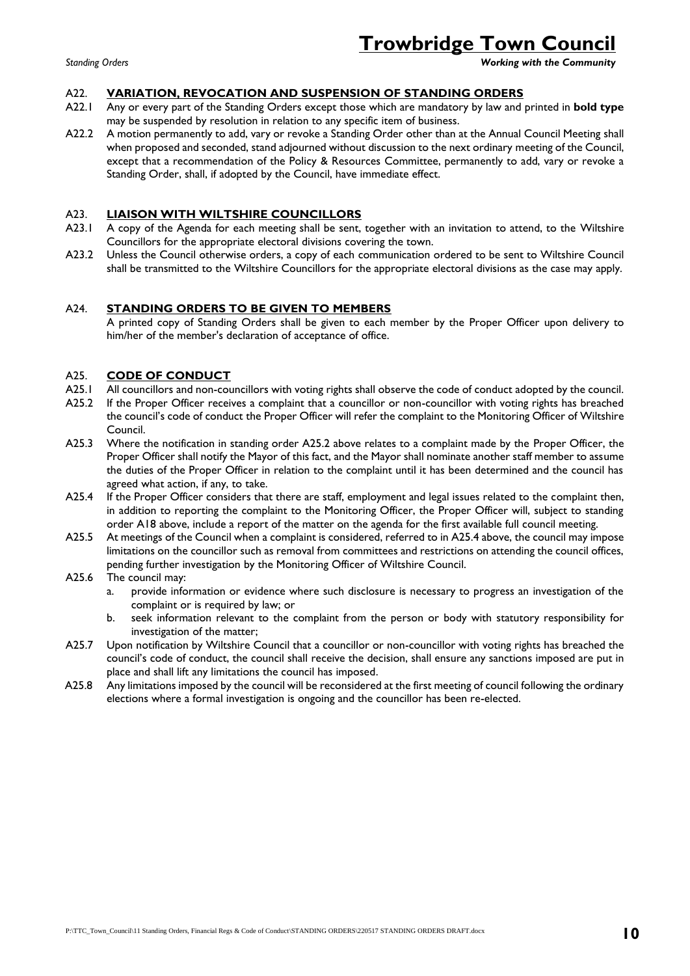*Standing Orders Working with the Community*

#### A22. **VARIATION, REVOCATION AND SUSPENSION OF STANDING ORDERS**

- A22.1 Any or every part of the Standing Orders except those which are mandatory by law and printed in **bold type**  may be suspended by resolution in relation to any specific item of business.
- A22.2 A motion permanently to add, vary or revoke a Standing Order other than at the Annual Council Meeting shall when proposed and seconded, stand adjourned without discussion to the next ordinary meeting of the Council, except that a recommendation of the Policy & Resources Committee, permanently to add, vary or revoke a Standing Order, shall, if adopted by the Council, have immediate effect.

#### A23. **LIAISON WITH WILTSHIRE COUNCILLORS**

- A23.1 A copy of the Agenda for each meeting shall be sent, together with an invitation to attend, to the Wiltshire Councillors for the appropriate electoral divisions covering the town.
- A23.2 Unless the Council otherwise orders, a copy of each communication ordered to be sent to Wiltshire Council shall be transmitted to the Wiltshire Councillors for the appropriate electoral divisions as the case may apply.

#### A24. **STANDING ORDERS TO BE GIVEN TO MEMBERS**

A printed copy of Standing Orders shall be given to each member by the Proper Officer upon delivery to him/her of the member's declaration of acceptance of office.

#### A25. **CODE OF CONDUCT**

- A25.1 All councillors and non-councillors with voting rights shall observe the code of conduct adopted by the council.
- A25.2 If the Proper Officer receives a complaint that a councillor or non-councillor with voting rights has breached the council's code of conduct the Proper Officer will refer the complaint to the Monitoring Officer of Wiltshire Council.
- A25.3 Where the notification in standing order A25.2 above relates to a complaint made by the Proper Officer, the Proper Officer shall notify the Mayor of this fact, and the Mayor shall nominate another staff member to assume the duties of the Proper Officer in relation to the complaint until it has been determined and the council has agreed what action, if any, to take.
- A25.4 If the Proper Officer considers that there are staff, employment and legal issues related to the complaint then, in addition to reporting the complaint to the Monitoring Officer, the Proper Officer will, subject to standing order A18 above, include a report of the matter on the agenda for the first available full council meeting.
- A25.5 At meetings of the Council when a complaint is considered, referred to in A25.4 above, the council may impose limitations on the councillor such as removal from committees and restrictions on attending the council offices, pending further investigation by the Monitoring Officer of Wiltshire Council.
- A25.6 The council may:
	- a. provide information or evidence where such disclosure is necessary to progress an investigation of the complaint or is required by law; or
	- b. seek information relevant to the complaint from the person or body with statutory responsibility for investigation of the matter;
- A25.7 Upon notification by Wiltshire Council that a councillor or non-councillor with voting rights has breached the council's code of conduct, the council shall receive the decision, shall ensure any sanctions imposed are put in place and shall lift any limitations the council has imposed.
- A25.8 Any limitations imposed by the council will be reconsidered at the first meeting of council following the ordinary elections where a formal investigation is ongoing and the councillor has been re-elected.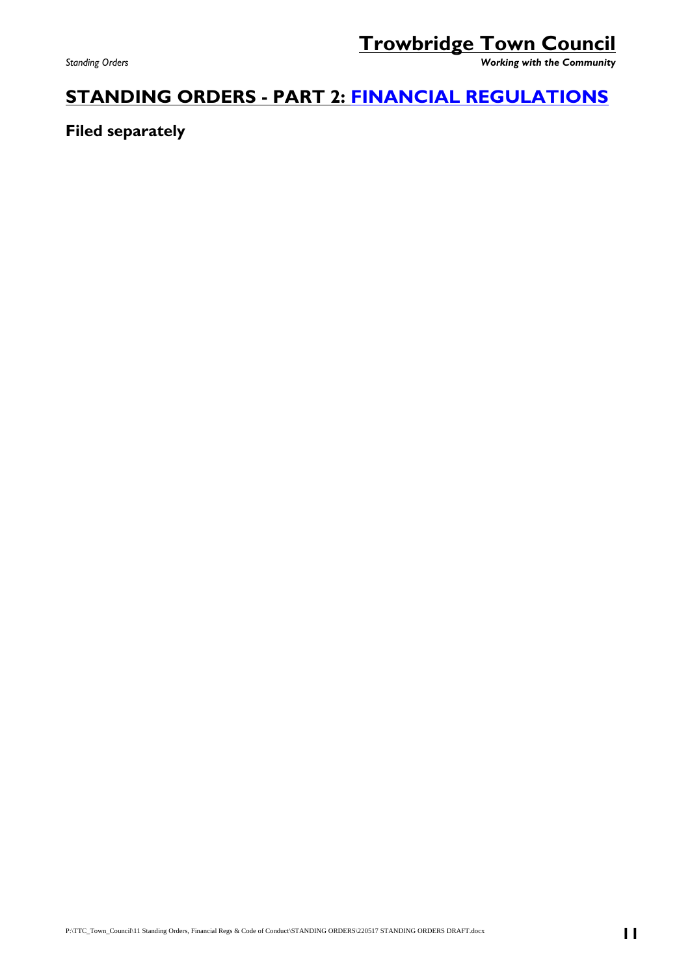*Standing Orders Working with the Community*

### **STANDING ORDERS - PART 2: [FINANCIAL REGULATIONS](../FINANCIAL%20REGULATIONS/210518%20%20Financial%20Regulations%20adopted%20180521.docx)**

**Filed separately**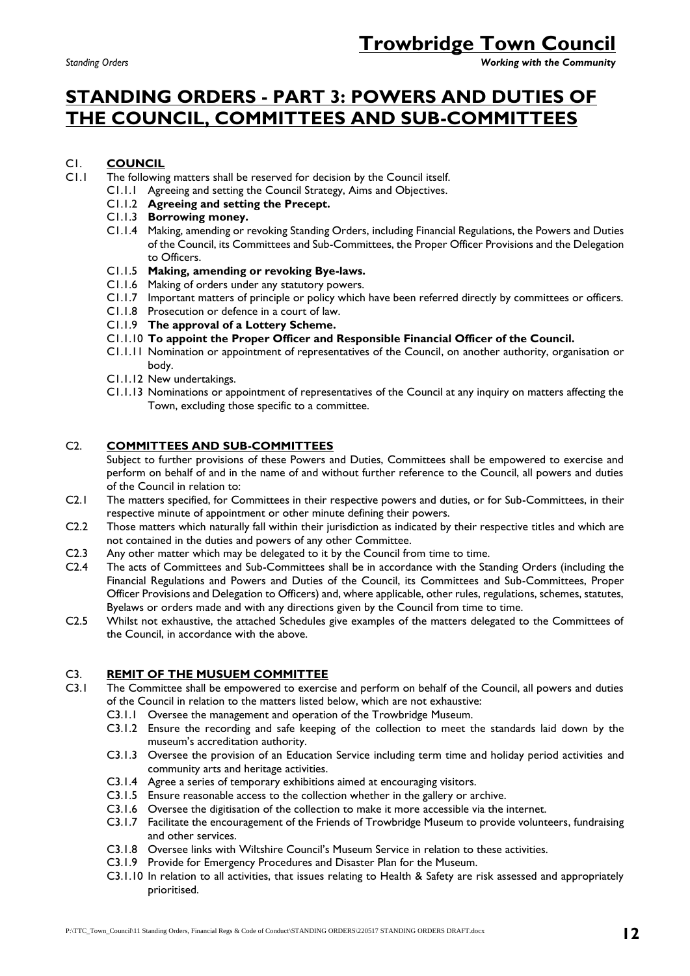*Standing Orders Working with the Community*

## **STANDING ORDERS - PART 3: POWERS AND DUTIES OF THE COUNCIL, COMMITTEES AND SUB-COMMITTEES**

### C1. **COUNCIL**

- C1.1 The following matters shall be reserved for decision by the Council itself.
	- C1.1.1 Agreeing and setting the Council Strategy, Aims and Objectives.
		- C1.1.2 **Agreeing and setting the Precept.**
		- C1.1.3 **Borrowing money.**
		- C1.1.4 Making, amending or revoking Standing Orders, including Financial Regulations, the Powers and Duties of the Council, its Committees and Sub-Committees, the Proper Officer Provisions and the Delegation to Officers.
		- C1.1.5 **Making, amending or revoking Bye-laws.**
		- C1.1.6 Making of orders under any statutory powers.
		- C1.1.7 Important matters of principle or policy which have been referred directly by committees or officers.
		- C1.1.8 Prosecution or defence in a court of law.
		- C1.1.9 **The approval of a Lottery Scheme.**
		- C1.1.10 **To appoint the Proper Officer and Responsible Financial Officer of the Council.**
		- C1.1.11 Nomination or appointment of representatives of the Council, on another authority, organisation or body.
		- C1.1.12 New undertakings.
		- C1.1.13 Nominations or appointment of representatives of the Council at any inquiry on matters affecting the Town, excluding those specific to a committee.

### C2. **COMMITTEES AND SUB-COMMITTEES**

Subject to further provisions of these Powers and Duties, Committees shall be empowered to exercise and perform on behalf of and in the name of and without further reference to the Council, all powers and duties of the Council in relation to:

- C2.1 The matters specified, for Committees in their respective powers and duties, or for Sub-Committees, in their respective minute of appointment or other minute defining their powers.
- C2.2 Those matters which naturally fall within their jurisdiction as indicated by their respective titles and which are not contained in the duties and powers of any other Committee.
- C2.3 Any other matter which may be delegated to it by the Council from time to time.
- C2.4 The acts of Committees and Sub-Committees shall be in accordance with the Standing Orders (including the Financial Regulations and Powers and Duties of the Council, its Committees and Sub-Committees, Proper Officer Provisions and Delegation to Officers) and, where applicable, other rules, regulations, schemes, statutes, Byelaws or orders made and with any directions given by the Council from time to time.
- C2.5 Whilst not exhaustive, the attached Schedules give examples of the matters delegated to the Committees of the Council, in accordance with the above.

### C3. **REMIT OF THE MUSUEM COMMITTEE**

- C3.1 The Committee shall be empowered to exercise and perform on behalf of the Council, all powers and duties of the Council in relation to the matters listed below, which are not exhaustive:
	- C3.1.1 Oversee the management and operation of the Trowbridge Museum.
	- C3.1.2 Ensure the recording and safe keeping of the collection to meet the standards laid down by the museum's accreditation authority.
	- C3.1.3 Oversee the provision of an Education Service including term time and holiday period activities and community arts and heritage activities.
	- C3.1.4 Agree a series of temporary exhibitions aimed at encouraging visitors.
	- C3.1.5 Ensure reasonable access to the collection whether in the gallery or archive.
	- C3.1.6 Oversee the digitisation of the collection to make it more accessible via the internet.
	- C3.1.7 Facilitate the encouragement of the Friends of Trowbridge Museum to provide volunteers, fundraising and other services.
	- C3.1.8 Oversee links with Wiltshire Council's Museum Service in relation to these activities.
	- C3.1.9 Provide for Emergency Procedures and Disaster Plan for the Museum.
	- C3.1.10 In relation to all activities, that issues relating to Health & Safety are risk assessed and appropriately prioritised.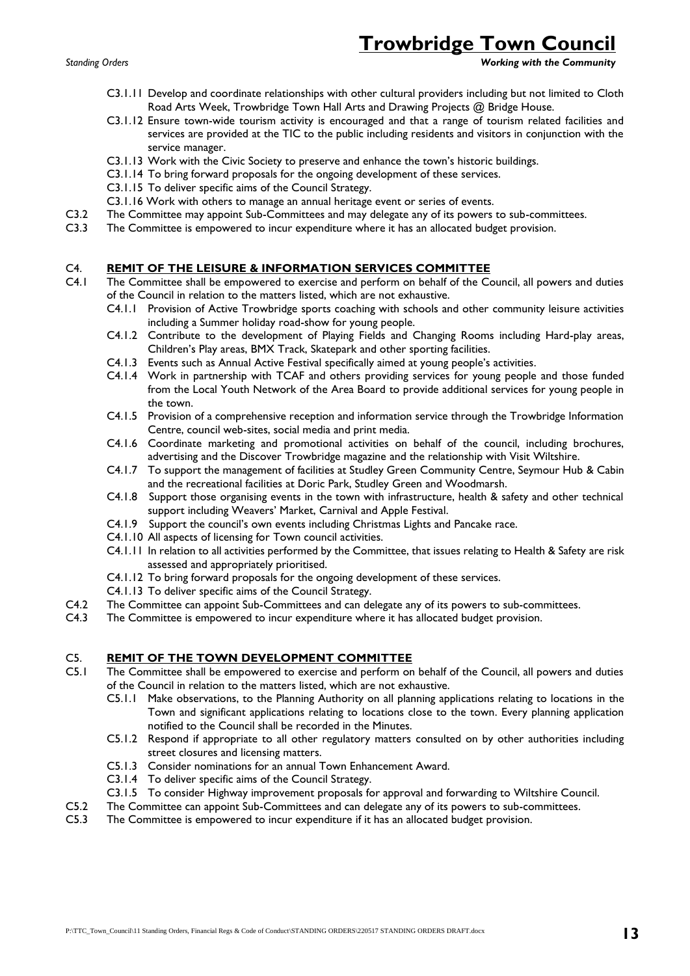*Standing Orders Working with the Community*

- C3.1.11 Develop and coordinate relationships with other cultural providers including but not limited to Cloth Road Arts Week, Trowbridge Town Hall Arts and Drawing Projects @ Bridge House.
- C3.1.12 Ensure town-wide tourism activity is encouraged and that a range of tourism related facilities and services are provided at the TIC to the public including residents and visitors in conjunction with the service manager.
- C3.1.13 Work with the Civic Society to preserve and enhance the town's historic buildings.
- C3.1.14 To bring forward proposals for the ongoing development of these services.
- C3.1.15 To deliver specific aims of the Council Strategy.
- C3.1.16 Work with others to manage an annual heritage event or series of events.
- C3.2 The Committee may appoint Sub-Committees and may delegate any of its powers to sub-committees.
- C3.3 The Committee is empowered to incur expenditure where it has an allocated budget provision.

### C4. **REMIT OF THE LEISURE & INFORMATION SERVICES COMMITTEE**

- C4.1 The Committee shall be empowered to exercise and perform on behalf of the Council, all powers and duties of the Council in relation to the matters listed, which are not exhaustive.
	- C4.1.1 Provision of Active Trowbridge sports coaching with schools and other community leisure activities including a Summer holiday road-show for young people.
	- C4.1.2 Contribute to the development of Playing Fields and Changing Rooms including Hard-play areas, Children's Play areas, BMX Track, Skatepark and other sporting facilities.
	- C4.1.3 Events such as Annual Active Festival specifically aimed at young people's activities.
	- C4.1.4 Work in partnership with TCAF and others providing services for young people and those funded from the Local Youth Network of the Area Board to provide additional services for young people in the town.
	- C4.1.5 Provision of a comprehensive reception and information service through the Trowbridge Information Centre, council web-sites, social media and print media.
	- C4.1.6 Coordinate marketing and promotional activities on behalf of the council, including brochures, advertising and the Discover Trowbridge magazine and the relationship with Visit Wiltshire.
	- C4.1.7 To support the management of facilities at Studley Green Community Centre, Seymour Hub & Cabin and the recreational facilities at Doric Park, Studley Green and Woodmarsh.
	- C4.1.8 Support those organising events in the town with infrastructure, health & safety and other technical support including Weavers' Market, Carnival and Apple Festival.
	- C4.1.9 Support the council's own events including Christmas Lights and Pancake race.
	- C4.1.10 All aspects of licensing for Town council activities.
	- C4.1.11 In relation to all activities performed by the Committee, that issues relating to Health & Safety are risk assessed and appropriately prioritised.
	- C4.1.12 To bring forward proposals for the ongoing development of these services.
	- C4.1.13 To deliver specific aims of the Council Strategy.
- C4.2 The Committee can appoint Sub-Committees and can delegate any of its powers to sub-committees.
- C4.3 The Committee is empowered to incur expenditure where it has allocated budget provision.

### C5. **REMIT OF THE TOWN DEVELOPMENT COMMITTEE**

- C5.1 The Committee shall be empowered to exercise and perform on behalf of the Council, all powers and duties of the Council in relation to the matters listed, which are not exhaustive.
	- C5.1.1 Make observations, to the Planning Authority on all planning applications relating to locations in the Town and significant applications relating to locations close to the town. Every planning application notified to the Council shall be recorded in the Minutes.
	- C5.1.2 Respond if appropriate to all other regulatory matters consulted on by other authorities including street closures and licensing matters.
	- C5.1.3 Consider nominations for an annual Town Enhancement Award.
	- C3.1.4 To deliver specific aims of the Council Strategy.
	- C3.1.5 To consider Highway improvement proposals for approval and forwarding to Wiltshire Council.
- C5.2 The Committee can appoint Sub-Committees and can delegate any of its powers to sub-committees.
- C5.3 The Committee is empowered to incur expenditure if it has an allocated budget provision.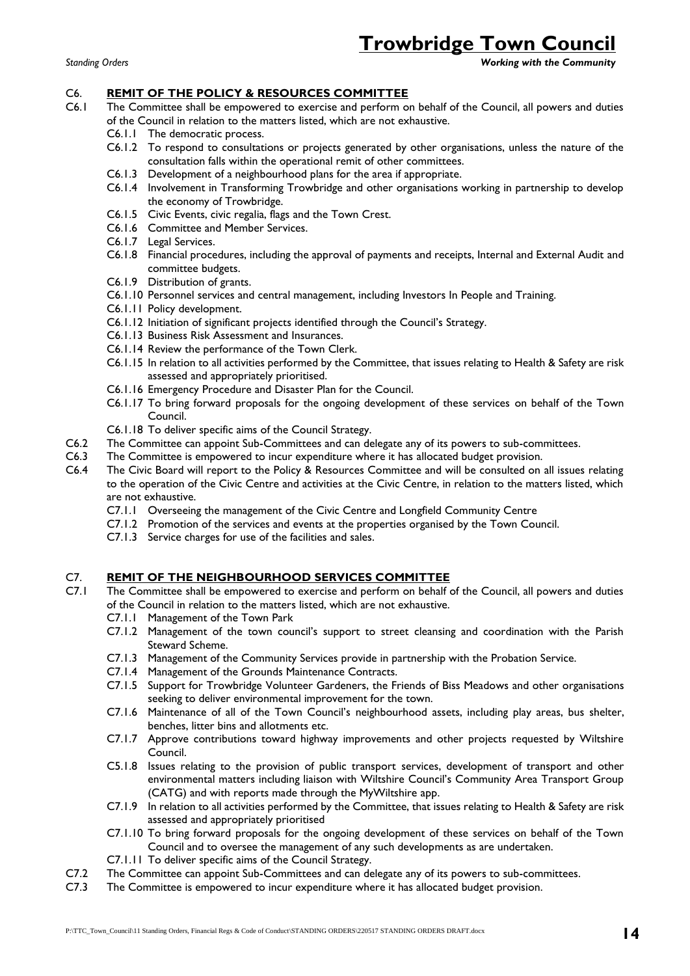*Standing Orders Working with the Community*

#### C6. **REMIT OF THE POLICY & RESOURCES COMMITTEE**

- C6.1 The Committee shall be empowered to exercise and perform on behalf of the Council, all powers and duties of the Council in relation to the matters listed, which are not exhaustive.
	- C6.1.1 The democratic process.
	- C6.1.2 To respond to consultations or projects generated by other organisations, unless the nature of the consultation falls within the operational remit of other committees.
	- C6.1.3 Development of a neighbourhood plans for the area if appropriate.
	- C6.1.4 Involvement in Transforming Trowbridge and other organisations working in partnership to develop the economy of Trowbridge.
	- C6.1.5 Civic Events, civic regalia, flags and the Town Crest.
	- C6.1.6 Committee and Member Services.
	- C6.1.7 Legal Services.
	- C6.1.8 Financial procedures, including the approval of payments and receipts, Internal and External Audit and committee budgets.
	- C6.1.9 Distribution of grants.
	- C6.1.10 Personnel services and central management, including Investors In People and Training.
	- C6.1.11 Policy development.
	- C6.1.12 Initiation of significant projects identified through the Council's Strategy.
	- C6.1.13 Business Risk Assessment and Insurances.
	- C6.1.14 Review the performance of the Town Clerk.
	- C6.1.15 In relation to all activities performed by the Committee, that issues relating to Health & Safety are risk assessed and appropriately prioritised.
	- C6.1.16 Emergency Procedure and Disaster Plan for the Council.
	- C6.1.17 To bring forward proposals for the ongoing development of these services on behalf of the Town Council.
	- C6.1.18 To deliver specific aims of the Council Strategy.
- C6.2 The Committee can appoint Sub-Committees and can delegate any of its powers to sub-committees.
- C6.3 The Committee is empowered to incur expenditure where it has allocated budget provision.
- C6.4 The Civic Board will report to the Policy & Resources Committee and will be consulted on all issues relating to the operation of the Civic Centre and activities at the Civic Centre, in relation to the matters listed, which are not exhaustive.
	- C7.1.1 Overseeing the management of the Civic Centre and Longfield Community Centre
	- C7.1.2 Promotion of the services and events at the properties organised by the Town Council.
	- C7.1.3 Service charges for use of the facilities and sales.

#### C7. **REMIT OF THE NEIGHBOURHOOD SERVICES COMMITTEE**

- C7.1 The Committee shall be empowered to exercise and perform on behalf of the Council, all powers and duties of the Council in relation to the matters listed, which are not exhaustive.
	- C7.1.1 Management of the Town Park
	- C7.1.2 Management of the town council's support to street cleansing and coordination with the Parish Steward Scheme.
	- C7.1.3 Management of the Community Services provide in partnership with the Probation Service.
	- C7.1.4 Management of the Grounds Maintenance Contracts.
	- C7.1.5 Support for Trowbridge Volunteer Gardeners, the Friends of Biss Meadows and other organisations seeking to deliver environmental improvement for the town.
	- C7.1.6 Maintenance of all of the Town Council's neighbourhood assets, including play areas, bus shelter, benches, litter bins and allotments etc.
	- C7.1.7 Approve contributions toward highway improvements and other projects requested by Wiltshire Council.
	- C5.1.8 Issues relating to the provision of public transport services, development of transport and other environmental matters including liaison with Wiltshire Council's Community Area Transport Group (CATG) and with reports made through the MyWiltshire app.
	- C7.1.9 In relation to all activities performed by the Committee, that issues relating to Health & Safety are risk assessed and appropriately prioritised
	- C7.1.10 To bring forward proposals for the ongoing development of these services on behalf of the Town Council and to oversee the management of any such developments as are undertaken.
	- C7.1.11 To deliver specific aims of the Council Strategy.
- C7.2 The Committee can appoint Sub-Committees and can delegate any of its powers to sub-committees.
- C7.3 The Committee is empowered to incur expenditure where it has allocated budget provision.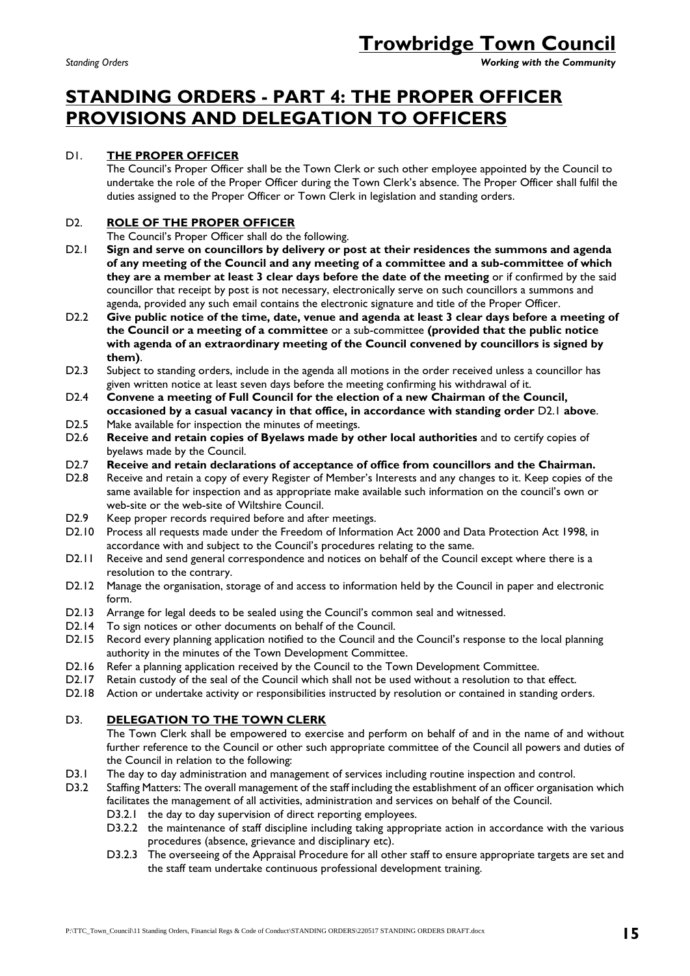*Standing Orders Working with the Community*

# **STANDING ORDERS - PART 4: THE PROPER OFFICER PROVISIONS AND DELEGATION TO OFFICERS**

### D1. **THE PROPER OFFICER**

The Council's Proper Officer shall be the Town Clerk or such other employee appointed by the Council to undertake the role of the Proper Officer during the Town Clerk's absence. The Proper Officer shall fulfil the duties assigned to the Proper Officer or Town Clerk in legislation and standing orders.

### D2. **ROLE OF THE PROPER OFFICER**

The Council's Proper Officer shall do the following.

- D2.1 **Sign and serve on councillors by delivery or post at their residences the summons and agenda of any meeting of the Council and any meeting of a committee and a sub-committee of which they are a member at least 3 clear days before the date of the meeting** or if confirmed by the said councillor that receipt by post is not necessary, electronically serve on such councillors a summons and agenda, provided any such email contains the electronic signature and title of the Proper Officer.
- D2.2 **Give public notice of the time, date, venue and agenda at least 3 clear days before a meeting of the Council or a meeting of a committee** or a sub-committee **(provided that the public notice with agenda of an extraordinary meeting of the Council convened by councillors is signed by them)**.
- D2.3 Subject to standing orders, include in the agenda all motions in the order received unless a councillor has given written notice at least seven days before the meeting confirming his withdrawal of it.
- D2.4 **Convene a meeting of Full Council for the election of a new Chairman of the Council, occasioned by a casual vacancy in that office, in accordance with standing order** D2.1 **above**.
- D2.5 Make available for inspection the minutes of meetings.<br>D2.6 Receive and retain copies of Byelaws made by o
- Receive and retain copies of Byelaws made by other local authorities and to certify copies of byelaws made by the Council.
- D2.7 **Receive and retain declarations of acceptance of office from councillors and the Chairman.**
- D2.8 Receive and retain a copy of every Register of Member's Interests and any changes to it. Keep copies of the same available for inspection and as appropriate make available such information on the council's own or web-site or the web-site of Wiltshire Council.
- D2.9 Keep proper records required before and after meetings.
- D2.10 Process all requests made under the Freedom of Information Act 2000 and Data Protection Act 1998, in accordance with and subject to the Council's procedures relating to the same.
- D2.11 Receive and send general correspondence and notices on behalf of the Council except where there is a resolution to the contrary.
- D2.12 Manage the organisation, storage of and access to information held by the Council in paper and electronic form.
- D2.13 Arrange for legal deeds to be sealed using the Council's common seal and witnessed.
- D2.14 To sign notices or other documents on behalf of the Council.
- D2.15 Record every planning application notified to the Council and the Council's response to the local planning authority in the minutes of the Town Development Committee.
- D2.16 Refer a planning application received by the Council to the Town Development Committee.
- D2.17 Retain custody of the seal of the Council which shall not be used without a resolution to that effect.
- D2.18 Action or undertake activity or responsibilities instructed by resolution or contained in standing orders.

### D3. **DELEGATION TO THE TOWN CLERK**

The Town Clerk shall be empowered to exercise and perform on behalf of and in the name of and without further reference to the Council or other such appropriate committee of the Council all powers and duties of the Council in relation to the following:

- D3.1 The day to day administration and management of services including routine inspection and control.
- D3.2 Staffing Matters: The overall management of the staff including the establishment of an officer organisation which facilitates the management of all activities, administration and services on behalf of the Council.
	- D3.2.1 the day to day supervision of direct reporting employees.
	- D3.2.2 the maintenance of staff discipline including taking appropriate action in accordance with the various procedures (absence, grievance and disciplinary etc).
	- D3.2.3 The overseeing of the Appraisal Procedure for all other staff to ensure appropriate targets are set and the staff team undertake continuous professional development training.